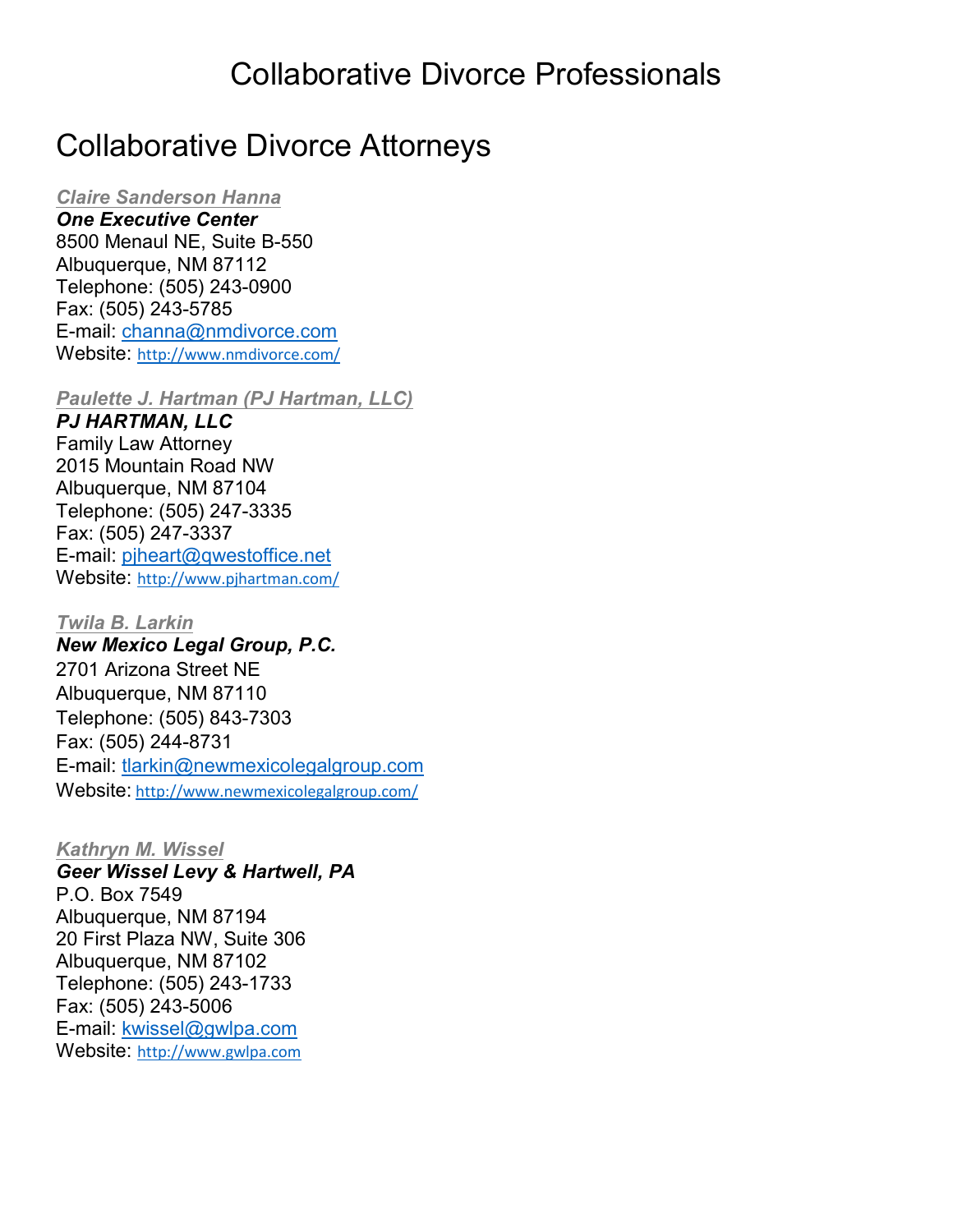### Collaborative Divorce Professionals

## Collaborative Divorce Attorneys

#### *Claire Sanderson Hanna*

*One Executive Center* 8500 Menaul NE, Suite B-550 Albuquerque, NM 87112 Telephone: (505) 243-0900 Fax: (505) 243-5785 E-mail: [channa@nmdivorce.com](mailto:channa@nmdivorce.com) Website: <http://www.nmdivorce.com/>

*Paulette J. Hartman (PJ Hartman, LLC)*

*PJ HARTMAN, LLC* Family Law Attorney 2015 Mountain Road NW Albuquerque, NM 87104 Telephone: (505) 247-3335 Fax: (505) 247-3337 E-mail: [pjheart@qwestoffice.net](mailto:channa@nmdivorce.com) Website: <http://www.pjhartman.com/>

*Twila B. Larkin New Mexico Legal Group, P.C.* 2701 Arizona Street NE Albuquerque, NM 87110 Telephone: (505) 843-7303 Fax: (505) 244-8731 E-mail: tlarkin@newmexicolegalgroup.com Website: <http://www.newmexicolegalgroup.com/>

*Kathryn M. Wissel*

*Geer Wissel Levy & Hartwell, PA* P.O. Box 7549 Albuquerque, NM 87194 20 First Plaza NW, Suite 306 Albuquerque, NM 87102 Telephone: (505) 243-1733 Fax: (505) 243-5006 E-mail: [kwissel@gwlpa.com](mailto:kwissel@gwlpa.com) Website: [http://www.gwlpa.com](http://www.gwlpa.com/)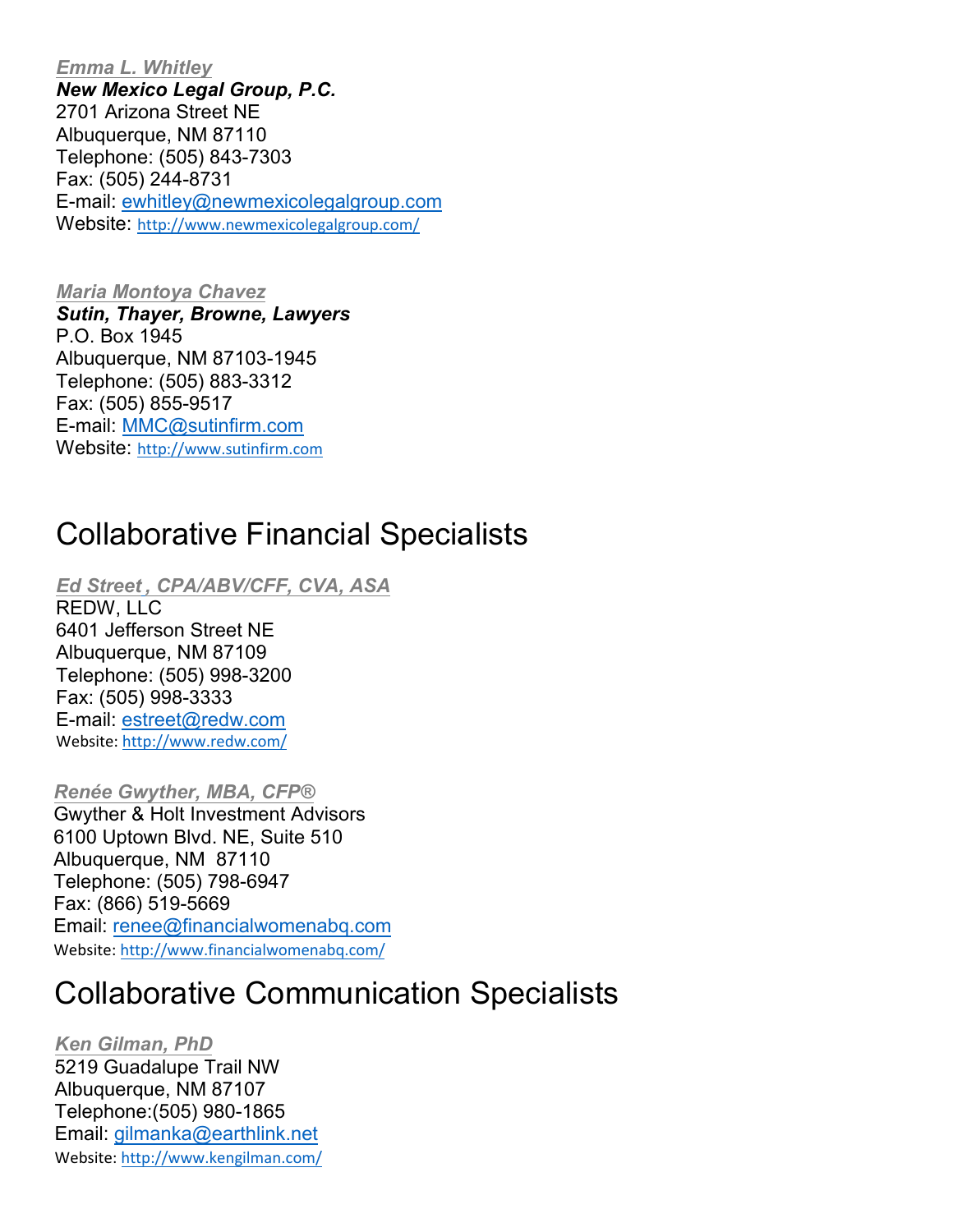*Emma L. Whitley New Mexico Legal Group, P.C.* 2701 Arizona Street NE Albuquerque, NM 87110 Telephone: (505) 843-7303 Fax: (505) 244-8731 E-mail: ewhitley@newmexicolegalgroup.com Website: <http://www.newmexicolegalgroup.com/>

*Maria Montoya Chavez Sutin, Thayer, Browne, Lawyers* P.O. Box 1945 Albuquerque, NM 87103-1945 Telephone: (505) 883-3312 Fax: (505) 855-9517 E-mail: [MMC@sutinfirm.com](mailto:MMC@sutinfirm.com) Website: [http://www.sutinfirm.com](http://www.sutinfirm.com/)

## Collaborative Financial Specialists

*Ed Street , CPA/ABV/CFF, CVA, ASA*

REDW, LLC 6401 Jefferson Street NE Albuquerque, NM 87109 Telephone: (505) 998-3200 Fax: (505) 998-3333 E-mail: [estreet@redw.com](mailto:estreet@redw.com) Website[: http://www.redw.com/](http://www.redw.com/)

*Renée Gwyther, MBA, CFP®* Gwyther & Holt Investment Advisors 6100 Uptown Blvd. NE, Suite 510 Albuquerque, NM 87110 Telephone: (505) 798-6947 Fax: (866) 519-5669 Email: renee@financialwomenabq.com Website: http://www.financialwomenabq.com/

# Collaborative Communication Specialists

*Ken Gilman, PhD* 5219 Guadalupe Trail NW Albuq[uerque, NM 87107](mailto:gilmanka@earthlink.net) Teleph[one:\(505\) 980-1865](http://www.kengilman.com/)  Email: gilmanka@earthlink.net Website: http://www.kengilman.com/